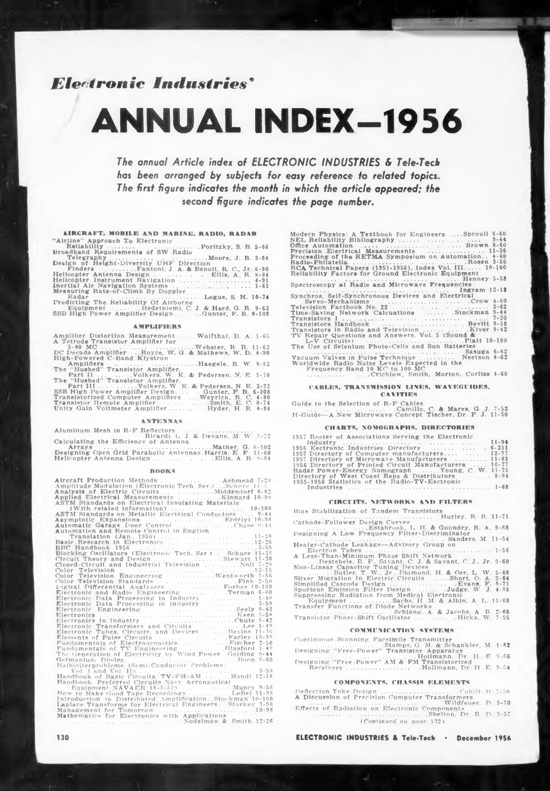# *Electronic Industries'*

# **ANNUAL INDEX-1956**

*The annual Article index of ELECTRONIC INDUSTRIES & Tele-Tech has been arranged by subjects for easy reference to related topics. The first figure indicates the month in which the article appeared; the second figure indicates the page number.*

# **AIRCRAFT, MOBILE AND MARINE, RADIO. RADAR** "Airline'' Approach To Electronic

| The annual Article index of ELE(                                                                         |
|----------------------------------------------------------------------------------------------------------|
| has been arranged by subjects f                                                                          |
| The first figure indicates the mont                                                                      |
|                                                                                                          |
| second figure indice                                                                                     |
|                                                                                                          |
|                                                                                                          |
|                                                                                                          |
| <b>AIRCRAFT, MOBILE AND MARINE, RADIO, RADAR</b>                                                         |
| "Airline" Approach To Electronic                                                                         |
|                                                                                                          |
|                                                                                                          |
| Finders Fantoni, J. A. & Benoit, R. C., Jr. 6-90                                                         |
| Helicopter Antenna Design  Ellis, A. R. 8-84<br>Helicopter Instrument Navigation  4-91                   |
|                                                                                                          |
| Measuring Rate-of-Climb By Doppler                                                                       |
| Radar<br>Predicting The Reliability Of Airborne<br>Predicting The Reliability Of Airborne                |
| Equipment , Hedetniemi, C. J. & Herd. G. R. 9-62<br>SSB High Power Amplifier Design  Gunter, F. B. 6-108 |
|                                                                                                          |
| <b>AMPLIFIERS</b>                                                                                        |
| Amplifier Distortion Measurement  Wolfthal, D. A. 1-65                                                   |
| A Tetrode Transistor Amplifier for                                                                       |
| DC Decade Amplifier Royce, W. G. & Mathews, W. D. 4-90                                                   |
| High-Powered C-Band Klystron                                                                             |
| Amplifiers Haegele, R. W. 8-82<br>The "Hushed" Transistor Amplifier,                                     |

#### **AMPLIFIERS**

| Amplifier Distortion Measurement  Wolfthal, D. A. 1-65  |
|---------------------------------------------------------|
| A Tetrode Transistor Amplifier for                      |
|                                                         |
| DC Decade Amplifier Royce, W. G. & Mathews, W. D. 4-90  |
| High-Powered C-Band Klystron                            |
|                                                         |
| The "Hushed" Transistor Amplifier.                      |
|                                                         |
| The "Hushed" Transistor Amplifier.                      |
| Part III   Volkers, W. K. & Pedersen, N. E. 2-72        |
| SSB High Power Amplifier Design Gunter, F. H. 6-108     |
| Transistorized Computer Amplifiers  Weyrick, R. C. 4-80 |
| Translator Remote Amplifier Smith, E. C. 8-74           |
| Unity Gain Voltmeter Amplifier Hyder, H. R. 4-84        |
|                                                         |

#### **ANTENNAS**

|  | Aluminum Mesh in R-F Reflectors       |  |  |
|--|---------------------------------------|--|--|
|  | Ricardi, L. J. & Devane, M. W. 3-72   |  |  |
|  | Calculating the Efficiency of Antenna |  |  |

#### **BOOKS**

| Calculating the Efficiency of Antenna                                                                                                                                                                                                                                                                                                                                                                                                                                                                                                                                                                                                                                                                                                                                                                                                                                                                                                                                                                                                                                                                                                                                                                                                                                                                                                                                                                                                                                                                                                                                                                                                    |
|------------------------------------------------------------------------------------------------------------------------------------------------------------------------------------------------------------------------------------------------------------------------------------------------------------------------------------------------------------------------------------------------------------------------------------------------------------------------------------------------------------------------------------------------------------------------------------------------------------------------------------------------------------------------------------------------------------------------------------------------------------------------------------------------------------------------------------------------------------------------------------------------------------------------------------------------------------------------------------------------------------------------------------------------------------------------------------------------------------------------------------------------------------------------------------------------------------------------------------------------------------------------------------------------------------------------------------------------------------------------------------------------------------------------------------------------------------------------------------------------------------------------------------------------------------------------------------------------------------------------------------------|
| Helicopter Antenna Design      Ellis, A. R. 8-84                                                                                                                                                                                                                                                                                                                                                                                                                                                                                                                                                                                                                                                                                                                                                                                                                                                                                                                                                                                                                                                                                                                                                                                                                                                                                                                                                                                                                                                                                                                                                                                         |
| <b>BOOKS</b>                                                                                                                                                                                                                                                                                                                                                                                                                                                                                                                                                                                                                                                                                                                                                                                                                                                                                                                                                                                                                                                                                                                                                                                                                                                                                                                                                                                                                                                                                                                                                                                                                             |
| Alteraft Production Methods   Ashmead 7-28<br>Amplitude Modulation (Electronic Tech. Ser.)Schure 11-3<br>ASTM Standards on Electrical Insulating Materials<br>Asymptotic Expansions<br>Automatic Garage Door Control  Chuse 3-44<br>Automatic Garage Door Control in English<br>Chuse 3-44<br>Translation (Jan., 1956)<br>Basic Research in Electronics<br><b>ERC Handbook 1956</b><br><b>ERC Handbook 1956</b><br><b>Chronic Tech. Service 11-36</b><br><b>Chronic Tech Service 11-36</b><br><b>Chronic Technology Service 11-36</b><br><b>Chronic Technology Service 11-36</b><br><b>Chronic Technology Service 11-36</b><br><b>Chand Cond</b><br>Closed Circuit and Industrial Television<br>Color Television<br>Color Television<br>Color Television Engineering<br>Color Television Standards<br>Color Television Standards<br>Ligital Differential Analyzers<br>Electronic Data Processing<br>Electronic Transformers and Circuits<br>Electronic Tubes, Circuits, and Devices<br>Electronic Tubes, Circuits, and Devices<br>Fundamentals of TV Engineering Glasford 1-48<br>The Generation of Electricity by Wind Power, Golding 9-44<br>Germanium Plotes<br>Full 1 and Vol. 10 and Vol. 10 and Vol. 10 and Vol. 10 and Vol. 10 and Vol. 10 and Vol. 10 and Vol. 10 and Vol. 10 and Vol. 10 and Vol. 10 and Vol. 10 and Vol. 10 and Vol. 10 and Vol. 10 and Vol. 10 and V<br>Equipment NAVAER 16-1-519  Muncy 9-58<br>How to Make Good Tape Recordings<br>Introduction to Distributed Amplification. Stockman 10-100<br>Laplace Transforms for Electrical Engineers. Starkey 3-56<br>Mathematics for Electronics with Applications |
| Nodelman & Smith 12-26                                                                                                                                                                                                                                                                                                                                                                                                                                                                                                                                                                                                                                                                                                                                                                                                                                                                                                                                                                                                                                                                                                                                                                                                                                                                                                                                                                                                                                                                                                                                                                                                                   |

| Modern Physics: A Textbook for Engineers  Sproull 6-60<br>Precision Electrical Measurements   11-36<br>Proceeding of the RETMA Symposium on Automation 4-60<br>Radio-Philatella  Rosen 3-56<br>RCA Technical Papers (1951-1955), Index Vol. III 10-100<br>Reliability Factors for Ground Electronic Equipment                                                                                                                                                                                                                                                             |
|---------------------------------------------------------------------------------------------------------------------------------------------------------------------------------------------------------------------------------------------------------------------------------------------------------------------------------------------------------------------------------------------------------------------------------------------------------------------------------------------------------------------------------------------------------------------------|
| Spectroscopy at Radie and Microwave Frequencies                                                                                                                                                                                                                                                                                                                                                                                                                                                                                                                           |
| Synchros, Self-Synchronous Devices and Electrical I2-18<br>Servo-Mechanisms<br>Television Factbook No. 22<br>13-62<br>13-62<br>Time-Saving Network Calcuations Stockman 9-44<br>Transistors Handbook  Bevitt 8-58<br>Translators in Radio and Television Kiver 9-42<br>TV Repair Questions and Answers, Vol. 5 (Sound &<br>L-V Circuits)<br>The Use of Selenium Photo-Cells and Sun Batteries<br>Vacuum Valves in Pulse Technique<br>Vacuum Valves in Pulse Technique<br>Vectson 4-62<br>Worldwide Radio Noise Levels Expected in the<br>Frequency Band 10 KC to 100 $MC$ |
| CABLES, TRANSMISSION LINES, WAVEGUIDES,                                                                                                                                                                                                                                                                                                                                                                                                                                                                                                                                   |
| <b>CAMITIES</b>                                                                                                                                                                                                                                                                                                                                                                                                                                                                                                                                                           |
| Guide to the Selection of R-F Cables<br>Camillo, C. & Mares, G. J. 7-52<br>H-Guide-A New Microwave Concept Tischer, Dr. F. J. 11-50                                                                                                                                                                                                                                                                                                                                                                                                                                       |
| CHARTS, NOMOGRAPHS, DIRECTORIES                                                                                                                                                                                                                                                                                                                                                                                                                                                                                                                                           |
| 1957 Roster of Associations Serving the Electronic<br>1956 Eectronic Industries Directory  6-211<br>1957 Directory of Computer manufacturers 12-77<br>1957 Directory of Microwave Manufacturers  11-83<br>1956 Directory of Printed Circuit Manufacturers  10-77<br>Radar Power-Energy Nomograph  Young, C. W. 11-75<br>Directory of West Coast Reps & Distributors 8-94<br>1955-1956 Statistics of the Radio-TV-Eectronic                                                                                                                                                |

#### **CAI1TIES**

#### **CHARTS, NOMOGRAPHS, DIRECTORIES**

| $11$ -GRILLE-A IVEW RIJEFOWAVE CONCEPT TRENEL, DT. E. J. LI-VO                                             |
|------------------------------------------------------------------------------------------------------------|
| <b>CHARTS, NOMOGRAPHS, DIRECTORIES</b>                                                                     |
| 1957 Roster of Associations Serving the Electronic<br>$11 - 94$                                            |
| 1956 Eectronic Industries Directory  6-211                                                                 |
| 1957 Directory of Computer manufacturers 12-77<br>1957 Directory of Microwave Manufacturers  11-83         |
| 1956 Directory of Printed Circuit Manufacturers  10-77<br>Radar Power-Energy Nomograph  Young, C. W. 11-75 |
| Directory of West Coast Reps & Distributors  8-94                                                          |
| 1955-1956 Statistics of the Radio-TV-Eectronic                                                             |
| <b>GIRCUITS. NETWORKS AND FILTERS</b>                                                                      |
| Bias Stubilization of Tandem Transistors                                                                   |

#### **CIRCUITS, NETWORKS AND FILTER\***

| 1956 Eectronic Industries Directory  . 6-411<br>1957 Directory of Computer manufacturers 12-77<br>1957 Directory of Microwave Manufacturers  11-83<br>1956 Directory of Printed Circuit Manufacturers  10-77<br>Radar Power-Energy Nomograph  Young, C. W. 11-75<br>Directory of West Coast Reps & Distributors 8-94<br>1955-1956 Statistics of the Radio-TV-Eectronic                                                                                                                                                                                                                                                                                                                                                                                                                                                   |  |
|--------------------------------------------------------------------------------------------------------------------------------------------------------------------------------------------------------------------------------------------------------------------------------------------------------------------------------------------------------------------------------------------------------------------------------------------------------------------------------------------------------------------------------------------------------------------------------------------------------------------------------------------------------------------------------------------------------------------------------------------------------------------------------------------------------------------------|--|
| <b>GIRCUITS. NETWORKS AND FILTERS</b>                                                                                                                                                                                                                                                                                                                                                                                                                                                                                                                                                                                                                                                                                                                                                                                    |  |
| Bias Stabilization of Tandem Transistors<br>Cathode-Follower Design Curves<br>Estabrook, L. H. & Goundry, R. A. 9-68<br>Designing A Low Frequency Filter-Discriminator<br>Heater-Cathode Leakage-Advisory Group on<br>A Less-Than-Minimum Phase Shift Network<br>Destebele, R. F., Savant. C. J. & Savant, C. J., Jr. 9-60<br>Non-Linear Capacitor Tuning Devices<br>Butler, T. W., Jr., Diamond, H. & Orr. L. W. 5-68<br>Silver Migration In Electric Circuits  Short, O. A. 2-64<br>Simplified Cascode Design Evans, F. 8-71<br>Spurious Emission Filter Design  Judge, W. J. 4-86<br>Suppressing Radiation from Medical Electronic<br>Equipment Sachs, H. M. & Albin, A. L. 11-68<br>Transfer Functions of Diode Networks<br>. Schlang, A. & Jacobs, A. B. 2-66<br>Transistor Phase-Shift Oscillator   Hicks, W. 7-55 |  |

#### **COMMUNICATION SYSTEMS**

Continuous Scanning Facsimile Transmitter<br>Designing "Free-Power" Transsistor Apparatus<br>Designing "Free-Power" Transistor Apparatus<br>Designing "Free-Power" AM & FM Transistorized<br>Receivers ...................................

#### **COMPONENTS, CHASSIS ELEMENTS**

Deflection Yoke Design ..................................................Cahill. B. 7-50 A Discussion of Precision Computer Transformers ...........................................................................Wildfeuer, D. 9-70 Effects of Radiation on Electronic Components ...................................................................Shelton. Dr. R. D. 9-57 *(Continued on page* 132)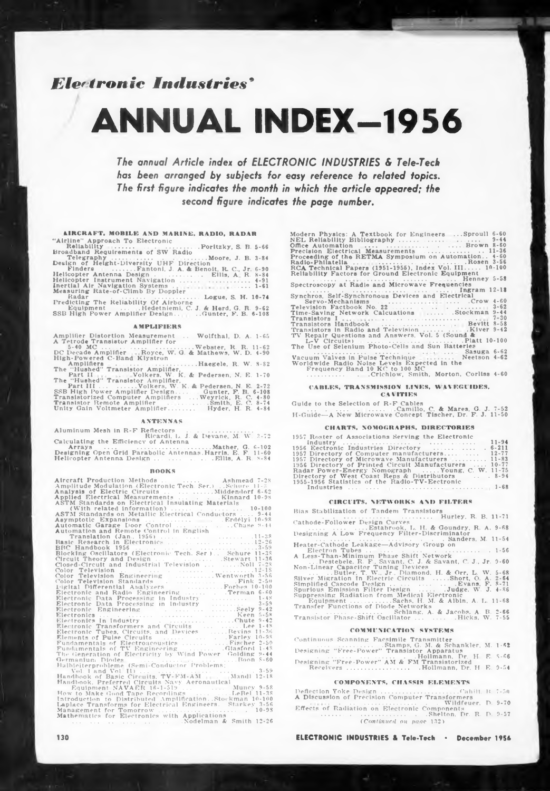# *Fl^ironie Industries'*

# **ANNUAL INDEX-1956**

*The annual Article index of ELECTRONIC INDUSTRIES & Tele-Tech has been arranged by subjects for easy reference to related topics. The first figure indicates the month in which the article appeared; the second figure indicates the page number.*

#### **LIKCRAFT, MOBILE AND MARINE, RADIO. RADAR**

|                                    | The annual Article index of ELE(<br>has been arranged by subjects f                   |
|------------------------------------|---------------------------------------------------------------------------------------|
|                                    | The first figure indicates the mont                                                   |
|                                    |                                                                                       |
|                                    | second figure indice                                                                  |
|                                    |                                                                                       |
|                                    |                                                                                       |
|                                    | <b>AIRCRAFT, MOBILE AND MARINE, RADIO, RADAR</b>                                      |
| "Airline" Approach To Electronic   |                                                                                       |
|                                    |                                                                                       |
|                                    |                                                                                       |
|                                    |                                                                                       |
|                                    | Finders Fantoni, J. A. & Benolt, R. C., Jr. 6-90                                      |
|                                    | Helicopter Antenna Design Ellis, A. R. 8-84<br>Helicopter Instrument Navigation  4-91 |
|                                    |                                                                                       |
| Measuring Rate-of-Climb By Doppler |                                                                                       |
|                                    | Radar<br>Predicting The Reliability Of Airborne<br>Contract S. H. 10-74               |
|                                    | Equipment , Hedetniemi, C. J. & Herd. G. R. 9-62                                      |
|                                    | SSB High Power Amplifier DesignGunter, F. B. 6-108                                    |
|                                    |                                                                                       |
|                                    | <b>AMPLIFIERS</b>                                                                     |
|                                    | Amplifier Distortion Measurement  Wolfthal, D. A. 1-65                                |
| A Tetrode Transistor Amplifier for |                                                                                       |
|                                    | DC Decade Amplifier Royce, W. G. & Mathews, W. D. 4-90                                |
| High-Powered C-Band Klystron       |                                                                                       |
|                                    |                                                                                       |
|                                    |                                                                                       |

#### **AMPLIFIERS**

| Amplifier Distortion Measurement  Wolfthal, D. A. 1-65  |  |
|---------------------------------------------------------|--|
| A Tetrode Transistor Amplifier for                      |  |
| $5-40$ MC        Webster, R. R. 11-62                   |  |
| DC Decade Amplifier Royce, W. G. & Mathews, W. D. 4-90  |  |
| High-Powered C-Band Klystron                            |  |
| Amplifiers Haegele, R. W. 8-82                          |  |
| The "Hushed" Transistor Amplifier.                      |  |
|                                                         |  |
| The "Hushed" Transistor Amplifier,                      |  |
| Part III  Volkers, W. K. & Pedersen, N. E. 2-72         |  |
| SSB High Power Amplifier Design Gunter, F. H. 6-108     |  |
| Transistorized Computer Amplifiers  Weyrick, R. C. 4-80 |  |
| Transistor Remote Amplifier Smith, E. C. 8-74           |  |
| Unity Gain Voltmeter Amplifier Hyder, H. R. 4-84        |  |

#### **ANTENNAS**

|  | Aluminum Mesh in R-F Reflectors       |  |  |
|--|---------------------------------------|--|--|
|  | Ricardi, L. J. & Devane, M. W. 3-72   |  |  |
|  | Calculating the Efficiency of Antenna |  |  |

#### **BOOKS**

| Calculating the Efficiency of Antenna                                                                                                                                                                                                                                                                                                                                                                                                                                                                                                                                                                                                                                                                                                                                                                                                                                                                                                                                                                                                                                                                                                                    |
|----------------------------------------------------------------------------------------------------------------------------------------------------------------------------------------------------------------------------------------------------------------------------------------------------------------------------------------------------------------------------------------------------------------------------------------------------------------------------------------------------------------------------------------------------------------------------------------------------------------------------------------------------------------------------------------------------------------------------------------------------------------------------------------------------------------------------------------------------------------------------------------------------------------------------------------------------------------------------------------------------------------------------------------------------------------------------------------------------------------------------------------------------------|
| Designing Open Grid Parabolic Antennas Harris, E. F. 11-60<br>Helicopter Antenna Design      Ellis, A. R. 8-84                                                                                                                                                                                                                                                                                                                                                                                                                                                                                                                                                                                                                                                                                                                                                                                                                                                                                                                                                                                                                                           |
| <b>BOOKS</b>                                                                                                                                                                                                                                                                                                                                                                                                                                                                                                                                                                                                                                                                                                                                                                                                                                                                                                                                                                                                                                                                                                                                             |
|                                                                                                                                                                                                                                                                                                                                                                                                                                                                                                                                                                                                                                                                                                                                                                                                                                                                                                                                                                                                                                                                                                                                                          |
| Alteraft Production Methods   Ashmead 7-28<br>Amplitude Modulation (Electronic Tech. Ser.) Schure 11-3<br>ASTM Standards on Electrical Insulating Materials<br>Closed-Circuit and Industrial Television<br>Color Television<br>Color Television Engineering<br>Color Television Engineering<br>Color Television Standards<br>Lightal Differential Analyzers<br>Electronic Data Processing in Industry<br>El<br>Electronic Transformers and Circuits<br>Electronic Tubes, Circuits, and Devices<br>Electronic Tubes, Circuits, and Devices<br>Fundamentals of TV Engineering [101] [11] [148] [148] The Generation of Electricity by Wind Power Golding 9-44<br>Germanium Plotes<br>Full 1 and Vol. 1 and Vol. 1 and Vol. 1 and Vol. 1 and Vol. 1 and Vol. 1 and Vol. 1 and Vol. 1 and Vol. 1 and Vol. 1 and Vol. 1 and Vol. 1 and Vol. 1 and Vol. 1 and Vol. 1 and Vol. 1 and Vol. 1 and Vol. 1<br>Equipment NAVAER 16-1-519  Muncy 9-58<br>How to Make Good Tape Recordings<br>Introduction to Distributed Amplification. Stockman 10-100<br>Laplace Transforms for Electrical Engineers. Starkey 3-56<br>Mathematics for Electronics with Applications |
| Nodelman & Smith 12-26                                                                                                                                                                                                                                                                                                                                                                                                                                                                                                                                                                                                                                                                                                                                                                                                                                                                                                                                                                                                                                                                                                                                   |
|                                                                                                                                                                                                                                                                                                                                                                                                                                                                                                                                                                                                                                                                                                                                                                                                                                                                                                                                                                                                                                                                                                                                                          |

| Modern Physics: A Textbook for Engineers  Sproull 6-60<br>Precision Electrical Measurements   11-36<br>Proceeding of the RETMA Symposium on Automation 4-60<br>RCA Technical Papers (1951-1955), Index Vol. III 10-100<br>Reliability Factors for Ground Electronic Equipment                                                                                                                                                                                                                                                     |
|-----------------------------------------------------------------------------------------------------------------------------------------------------------------------------------------------------------------------------------------------------------------------------------------------------------------------------------------------------------------------------------------------------------------------------------------------------------------------------------------------------------------------------------|
| Spectroscopy at Radio and Microwave Frequencies                                                                                                                                                                                                                                                                                                                                                                                                                                                                                   |
| Synchros, Self-Synchronous Devices and Electrical I2-18<br>Servo-Mechanisms<br>Television Factbook No. 22<br>Television Factbook No. 22<br>Time-Saving Network Calcuations Stockman 9-44<br>Transistors Handbook  Bevitt 8-58<br>TV Repair Questions and Answers, Vol. 5 (Sound &<br>L-V Circuits)<br>The Use of Selenium Photo-Cells and Sun Batteries<br>Vacuum Valves in Pulse Technique<br>Vacuum Valves in Pulse Technique<br>Veetson 4-62<br>Worldwide Radio Noise Levels Expected in the<br>Frequency Band 10 KC to 100 MC |
| CABLES, TRANSMISSION LINES, WAVEGUIDES,                                                                                                                                                                                                                                                                                                                                                                                                                                                                                           |
| <b>CAVITIES</b>                                                                                                                                                                                                                                                                                                                                                                                                                                                                                                                   |
| Guide to the Selection of R-F Cables<br>Equide - A New Microwave Concept Tischer, Dr. F. J. 11-50                                                                                                                                                                                                                                                                                                                                                                                                                                 |
| CHARTS, NOMOGRAPHS, DIRECTORIES                                                                                                                                                                                                                                                                                                                                                                                                                                                                                                   |
| 1957 Roster of Associations Serving the Electronic<br>1956 Eectronic Industries Directory  6-211<br>1957 Directory of Computer manufacturers 12-77<br>1957 Directory of Microwave Manufacturers  11-83<br>1956 Directory of Printed Circuit Manufacturers  10-77<br>Radar Power-Energy Nomograph  Young, C. W. 11-75<br>Directory of West Coast Reps & Distributors 8-94<br>1955-1956 Statistics of the Radio-TV-Eectronic                                                                                                        |

#### **CABLES, TRANSMISSION LINES, WAVEGUIDES,**

#### **CAI ITIES**

#### **CHARTS, NOMOGRAPHS, DIRECTORIES**

| $\mu$ -Gallet A New Microwave Concept Tischet, Dr. E. J. It. of                                                                                                                                                                                                                                                                                                                                                            |
|----------------------------------------------------------------------------------------------------------------------------------------------------------------------------------------------------------------------------------------------------------------------------------------------------------------------------------------------------------------------------------------------------------------------------|
| <b>CHARTS. NOMOGRAPHS, DIRECTORIES</b>                                                                                                                                                                                                                                                                                                                                                                                     |
| 1957 Roster of Associations Serving the Electronic<br>1956 Eectronic Industries Directory  6-211<br>1957 Directory of Computer manufacturers 12-77<br>1957 Directory of Microwave Manufacturers  11-83<br>1956 Directory of Printed Circuit Manufacturers  10-77<br>Radar Power-Energy Nomograph  Young, C. W. 11-75<br>Directory of West Coast Reps & Distributors 8-94<br>1955-1956 Statistics of the Radio-TV-Eectronic |
| <b>GIRCUITS. NETWORKS AND FILTERS</b><br>Bias Stubllization of Tandem Transistors                                                                                                                                                                                                                                                                                                                                          |

#### **CIRCUITS, NETWORKS AND FILTERS**

| Bias Stabilization of Tandem Transistors                  |
|-----------------------------------------------------------|
|                                                           |
| Cathode-Follower Design Curves                            |
| Estabrook, L. H. & Goundry, R. A. 9-68                    |
| Designing A Low Frequency Filter-Discriminator            |
| Sanders, M. 11-54                                         |
| Heater-Cathode Leakage-Advisory Group on                  |
|                                                           |
| A Less-Than-Minimum Phase Shift Network                   |
| Destebele, R. F., Savant, C. J. & Savant, C. J., Jr. 9-60 |
| Non-Linear Capacitor Tuning Devices                       |
| Butler, T. W., Jr., Diamond, H. & Orr. L. W. 5–68         |
| Silver Migration In Electric Circuits Short, O. A. 2-64   |
| Simplified Cascode Design Evans, F. 8-71                  |
| Spurious Emission Filter Design  Judge, W. J. 4-86        |
| Suppressing Radiation from Medical Electronic             |
| Equipment Sachs, H. M. & Albin, A. L. $11-68$             |
| Transfer Functions of Diode Networks                      |
| $\ldots$ Schlang, A. & Jacobs, A. B. 2-66                 |
| Transistor Phase-Shift Oscillator   Hicks, W. 7-55        |
|                                                           |
|                                                           |

#### **COMMUNICATION SYSTEMS**

Continuous Scanning Facsimile Transmitter<br>Designing "Free-Power" Transsisch A. & Schankler, M. 1-62<br>Designing "Free-Power" Transistor Apparatus<br>Designing "Free-Power" AM & FM Transistorized<br>Receivers ......................

#### **COMPONENTS, CHASSIS ELEMENTS**

Deflection Yoke Design (1999) (1999) (1999) (1999) (1999) (1999) (1999) (1999) (1999) (1999) (1999) (1999) (19<br>An International Company (1999) (1999) (1999) (1999) (1999) (1999) (1999) (1999) (1999) (1999) (1999) (1999) ( Effects of Radiation on Electronic Components ...................................................................Shelton. Dr. R. D. 9-57 *(Continued on page* 132)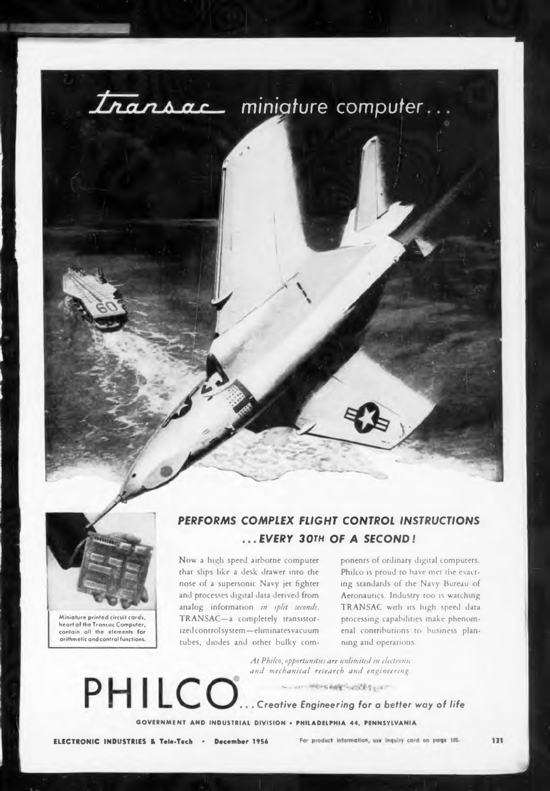



**Miniature printed circuit cards,**  $h$ eart of the Transac Computer, **contain all the elements for arithmetic and control functions.**

## *PERFORMS COMPLEX FLIGHT CONTROL INSTRUCTIONS EVERY 30th OF A SECOND !*

Now a high speed airborne computer that slips like a desk drawer into the nose of a supersonic Navy jet fighter and processes digital data derived from analog information *in split seconds.* TRANSAC—a completely transistorized controlsystem—eliminatesvacuum tubes, diodes and other bulky components of ordinary digital computers. Philco is proud to have mer the exacting standards of the Navy Bureau of Aeronautics. Industry too is watching TRANSAC with its high speed data processing capabilities make phenomenal contributions to business planning and operations.

*At Philco, opportunities are unlimited in electronic and mechanical research and engineering.*

*to., ,.lt •* **e.-4- ••**

PHILCO. *Creative Engineering for a better way of life*

**GOVERNMENT AND INDUSTRIAL DIVISION • PHILADELPHIA 44, PENNSYLVANIA**

**ELECTRONIC INDUSTRIES & Tele-Tech \* December 195b**

For product information, use inquiry card on page 105.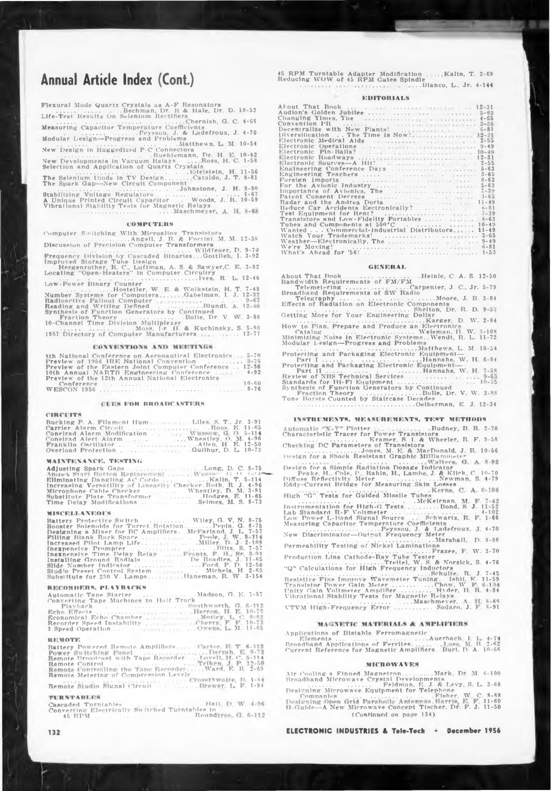# **Annual Article Index (Cont.)**

| Flexural Mode Quartz Crystals as A-F Resonators<br>. Bechman, Dr. R & Hale, Dr. D. 10-52 |
|------------------------------------------------------------------------------------------|
| Life-Test Results On Selenium Rectifiers                                                 |
| Chernish, G. C. 4-68<br>Measuring Capacitor Temperature Coefficients                     |
| .  Peyssou, J. & Ladefroux. J. 4-70                                                      |
| Modular Lesign--Progress and Problems                                                    |
| New Design in Ruggedized P-C Connectors<br>Ruehlemann, Dr. H. E. 10-62                   |
| New Developments in Vacuum Relays.  Ross, H. C. 1-58                                     |
| Selection and Application of Quartz Crystals<br>Edelstein, H. 11-56                      |
| The Selenium Diode in TV DesignCataldo, J. T. 8-81                                       |
| The Spark Gap-New Circuit Component                                                      |
| A Unique Printed Circuit Capacitor  Woods, J. R. 10-59                                   |
| Vibrational Stability Tests for Magnetic Relays                                          |
|                                                                                          |

Computer Switching With Microalloy Transistors<br>Discussion of Precision Computer Transformers<br>Prequency Division by Cascaded Binaries....Wildfeuer, D. 9-70<br>Frequency Division by Cascaded Binaries....Gottlieb, I. 3-92<br>Hergen

COMPUTERS<br>
used of Precision Christmas (U.S. 1991)<br>
used of Precision Computer Transformers<br>
used of Precision Computer Transformers<br>
used Storage Tube Design<br>
Coved Storage Tube Design<br>
Coved Storage Tube Design<br>
U.S. & S Low-Power Binary Counter ..............Hostetler, W. E. ft Wolkstein, H. T. 7-48 Number Systems for Computers Radioactive Fallout Computer . Reading and Writing Defined Gabelman, I. J. 12-32 Reading and Writing Defined<br>Synthesis of Function Generators by Continued Locating "Open-Heaters" in Computer<br>
Low-Power Binary Counter<br>
Mumber Systems for Computer<br>
Number Systems for Computer<br>
Raddonctive Fallout Computer<br>
Readding and Writting Defined<br>
Synthesis of Function Generators by Cont

.Moss, Dr. H. \* Kuchinsky, S. 5-RO 1957 Directory of Computer Manufacturers 12-77

#### **CONVENTIONS AND MEETINGS**

| <b>Sth National Conference on Aeronautical Electronics</b> 5-70 |  |
|-----------------------------------------------------------------|--|
| Preview of 1956 IRE National Convention 3-75                    |  |
| Preview of the Eastern Joint Computer Conference 12-36          |  |
|                                                                 |  |
| Preview of the 12th Annual National Electronics                 |  |
| $10 - 60$<br>Conference                                         |  |
|                                                                 |  |

**ICUES FOR BROADCASTERS** 

#### **CIRCUITS**

| Carrier Alarm Circuit Roos, E. 11-65            |  |
|-------------------------------------------------|--|
| Conelrad Alarm Modification Wussow, G. O. 5-114 |  |
| Conelrad Alert Alarm - - Wheatley, O. M. 4-96   |  |
| Franklin Oscillator     Allen, H. E. 12-50      |  |
| Overload Protection Guilhur, D. L. 10-73        |  |

#### **MAINTENANCE, TESTING**

| Adjusting Spark Gaps Contract Cong, D. C. 8-75                |  |
|---------------------------------------------------------------|--|
| Ampex Start Button Replacement  Wugen 11 11 1-1-1-            |  |
| Ellminating Dangling AC Cords  Kalin, T. 5-114                |  |
| Increasing Versatility of Linearity Checker, Roth, R. J. 4-96 |  |
| Microphone Cable Checker  Wheatley, D. M. 3-91                |  |
| Substitute Plate Transformer  Hodges, E. 11-65                |  |
|                                                               |  |

#### **MISCELLANEOUS**

| Battery Protective Switch  Wiley, G. V. N. 8-75            |
|------------------------------------------------------------|
| Booster Solenoids for Turret RotationPepin, G. 8-75        |
| Designing a Mixer for BC Amplifiers. McFarland, J. L. 7-57 |
| Filling Blank Rack Space   Poole, J. W. 5-114              |
|                                                            |
| Inexpensive Prompter Biltz, S. 7-57                        |
| Inexpensive Time Delay Relay Frants, F. H., Sr. 3-91       |
| Installing Ground Radials   De Roadies, J. 11-65           |
|                                                            |
|                                                            |
| Substitute for 230 V. LampsR. W. 3-154                     |

#### **RECORDERS. PLAYBACKS**

| Automatic Tape Starter 1986 1996 Madson, G. E. 7-57 |  |
|-----------------------------------------------------|--|
| Converting Tape Machines to Half Track              |  |
|                                                     |  |
|                                                     |  |
|                                                     |  |
|                                                     |  |
|                                                     |  |

#### **REMOTE**

Battery Powered Remote Amplifiers Remote Broadcast with Tape Recorder Remote Control ............................................ Remote Metering of Compression levels Carter, E. T. 6-112<br>Davell, H. C. 5-114<br>Lovell, H. C. 5-114<br>Teiken, J. P. 12-50<br>Ward, E. R. 2-69 Remote Studio Signal Circuit 1-84

#### **TURNTABLES**

Cascaded Turntables Hall, Convertine Electrically Switched Turntables to 45 RPM .........................................................Round

45 RPM Turntable Adapter Modification (Kalin, T. 2–69)<br>Reducing WOW of 45 RPM Gates Spindle ...Bianco, L.. Jr. 4-144

#### **EDITORIALS**

| Audion's Golden Jubilee     5-63                                                                                                  |           |
|-----------------------------------------------------------------------------------------------------------------------------------|-----------|
|                                                                                                                                   |           |
|                                                                                                                                   |           |
|                                                                                                                                   |           |
|                                                                                                                                   |           |
| Electronic Medical Aids (1996) 1996 1997 11: 2-55                                                                                 |           |
|                                                                                                                                   |           |
| Electronic Pin-Balls? $\ldots$ $\ldots$ $\ldots$ $\ldots$ $\ldots$ $\ldots$ $\ldots$ $\ldots$ $\ldots$ $\ldots$ $\ldots$ $\ldots$ |           |
|                                                                                                                                   |           |
|                                                                                                                                   |           |
|                                                                                                                                   | $5 - 63$  |
| Engineering Teachers                                                                                                              | $3 - 65$  |
|                                                                                                                                   | $8 - 63$  |
|                                                                                                                                   | $5 - 63$  |
|                                                                                                                                   | $7 - 39$  |
|                                                                                                                                   | $3 - 65$  |
|                                                                                                                                   | $11 - 49$ |
| Reduce Car Accidents Eectronically?   6-81                                                                                        |           |
|                                                                                                                                   |           |
| Transistors and Low-Fidelity Portables   8-63                                                                                     |           |
| Tubes and Components at $500^{\circ}$ C                                                                                           | $10 - 49$ |
| Wanted  Commercial-Industrial Distributors                                                                                        | $11 - 49$ |
|                                                                                                                                   |           |
|                                                                                                                                   |           |
| We're Moving!                                                                                                                     | $6 - 81$  |
| What's Ahead for 56! $\ldots$ $\ldots$ $\ldots$ $\ldots$ $\ldots$                                                                 | $1 - 5.3$ |
|                                                                                                                                   |           |

#### **GENERAL**

About That Rook ................ .Heinle, C. A. S. 12-50 Bandwidth Requirements of FM/FM Telemetering .. ... .Carpenter, J. C.. Jr. Broadband Requirements of SW Radio 5-79 Telegraphy... .... ... .................Moore, J. B. Effects of Radiation on Electronic Components ... ........... ............................Shelton, Dr. R. D. Getting More for Your Engineering Dollar rtance of Avintus; The<br>
rtand the Andrea Doria<br>
r and the Andrea Doria<br>
read the Andrea Dorian<br>
Equipment for Rent?<br>
Equipment for Rent?<br>
Equipment for Rent?<br>
as and Components at 50°C absolutions<br>
as and Components at 50° How to Plan, Prepare and Produce an Electronics<br>Catalog Carlo Hotel and School (Stateman, II, W.<br>Minimizing Noise in Electronic Systems, Wendi, R. L.<br>Modular Lesign—Progress and Problems ... Matthews, L. M<br>Protecting and P Plan, Prepare and Produce an Electronic<br>log<br>mg Noise in Electronic Systems... Welman,<br>mg Noise in Electronic Systems... Wendt,<br>Leslgn—Progress and Problems...<br>Hannahs,<br>mg and Packaging Electronic Equipment<br>manahs,<br>mg and P 3-84 2-84 3-108 11-72 10-54 Hannahs. W. H. 6-84 Review of NRS Technical Services ................... Standards for Hi-Fi Equipment................................... Synthesis of Function Generators by Continued Fraction Theory . . . . Bolle, Dr. Tone Bursts Counted by Staircase Decades ..................................................................Oelberman, **W** H. 7-58 10-55 **V. W. 3-SS E. J. 12-34**

#### **INSTRUMENTS. MEASl REMENTS, TEST METHODS**

Plotter .Rudney. B. R. 2-70 Characteristic Tracer for Power Transistors .................. Kramer. S. I. ft Wheeler, R. F. 9-58 Checking DC Parameters of Transistors **INSTRUMENTS, MEASUREMENTS, TEST METHO**<br>Automatic "X-Y" Plotter<br>Characteristic Tracer for Power Translators<br>Checking DC Parameters of Translators<br>Checking DC Parameters of Translators<br>Design for a Shock Resistant Graphic M Design for a Simple Radiation Dosage Indicator<br>- Peake, H., Cole, P., Rabin, H., Lambe, J. & Kilick, C. 10-70<br>Diffuse Reflectivity Meter<br>Eddy-Current Bridge for Measuring Skin Losses High "G" Tests for Guided Missile Tubes king DC Parameters of Transistors<br>
graphs of Transistors<br>
graphs of Realitant Graphic Millia<br>
graphs Realitation Dosage Indice<br>
en for a Simple Radiation Dosage Indice<br>
enke, H., Cole, P., Rabin, H., Lambe, J.<br>
1996<br>
Refle Instrumentation for High-G Tests. Lab Standard R-F Voltmeter . . . Low Power L-Band Signal Source . . . .Bond, S. J. 11-52 ................................. 4-102 Schwartz, R. F. 1-66 Measuring Capacitor Temperature Coefficients ................................Peyssou. J. *A* Ladefroux, New Discriminator—Output Frequency Meter .... ............................. .. Marshall, 4-70 Permeability Testing of Nickel Laminations .................................................................Frazee,...F. W. 3-70 D. 8-86 Production Line Cathode-Ray Tube Tester<br>
"Q" Calculations for High Frequency Inductors<br>
Resistive Fins Improve Wavemeter Tuning. Ishtl, I. J. 7-45<br>
Resistive Fins Improve Wavemeter Tuning. Ishtl, K. 11-59<br>
Thanistor Power R. **F.** 4-84 8-68 8-91

Applications of Bistable Ferromagnetic Elements................................... ....Auerbach I. Broadband Applications of Ferrites. B. 2-62 Current Reference for Magnetic Amplifiers Burt. D. A. 10-66<br>Current Reference for Magnetic Amplifiers Burt. D. A. 10-66<br>Current Reference for Magnetic Amplifiers Burt. D. A. 10-66

#### **mntowAi es**

Air Cooling a Finned Magnetron..........Mark, Dr. M. 6-100<br>Broadband Microwave Crystal Developments J. & Levy, S. L. 3-68<br>Designing Microwave Equipment for Telephone<br>Companies Levy, L. 1998

Deslening Open Grid Parabolic Antennas Harris, E. F. 11-60<br>H-Guide—A New Microwave Concept Tischer, Dr. F. J. 11-50 *(Continued on page* 134)

132 **ELECTRONIC INDUSTRIES & Tele-Tech December** 1956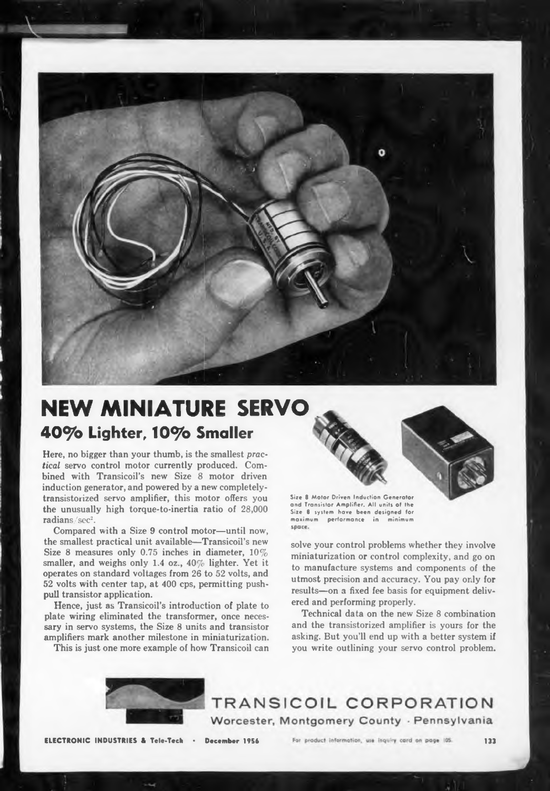

# **NEW MINIATURE SERVO 40^o Lighter, lO^o Smaller**

Here, no bigger than your thumb, is the smallest *practical* servo control motor currently produced. Combined with Transicoil's new Size 8 motor driven induction generator, and powered by a new completelytransistorized servo amplifier, this motor offers you the unusually high torque-to-inertia ratio of 28,000 radians/sec<sup>2</sup>.

Compared with a Size 9 control motor—until now, the smallest practical unit available—Transicoil's new Size 8 measures only 0.75 inches in diameter,  $10\%$ smaller, and weighs only 1.4 oz.,  $40\%$  lighter. Yet it operates on standard voltages from 26 to 52 volts, and 52 volts with center tap, at 400 cps, permitting pushpull transistor application.

Hence, just as Transicoil's introduction of plate to plate wiring eliminated the transformer, once necessary in servo systems, the Size 8 units and transistor amplifiers mark another milestone in miniaturization.

This is just one more example of how Transicoil can



**Size 8 Motor Driven Induction Generator and Transistor Amplifier. All units of Ihe Size 8 system have been designed for maximum performance in minimum**

solve your control problems whether they involve miniaturization or control complexity, and go on to manufacture systems and components of the utmost precision and accuracy. You pay only for results—on a fixed fee basis for equipment delivered and performing properly.

Technical data on the new Size 8 combination and the transistorized amplifier is yours for the asking. But you'll end up with a better system if you write outlining your servo control problem.



TRANSICOIL CORPORATION Worcester, Montgomery County - Pennsylvania

**ELECTRONIC INDUSTRIES & Tele-Tech • December 1956**